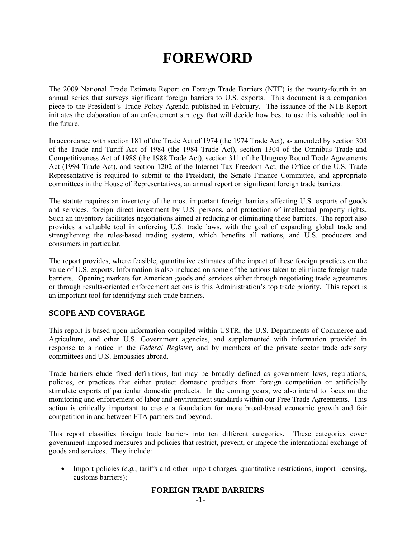# **FOREWORD**

The 2009 National Trade Estimate Report on Foreign Trade Barriers (NTE) is the twenty-fourth in an annual series that surveys significant foreign barriers to U.S. exports. This document is a companion piece to the President's Trade Policy Agenda published in February. The issuance of the NTE Report initiates the elaboration of an enforcement strategy that will decide how best to use this valuable tool in the future.

In accordance with section 181 of the Trade Act of 1974 (the 1974 Trade Act), as amended by section 303 of the Trade and Tariff Act of 1984 (the 1984 Trade Act), section 1304 of the Omnibus Trade and Competitiveness Act of 1988 (the 1988 Trade Act), section 311 of the Uruguay Round Trade Agreements Act (1994 Trade Act), and section 1202 of the Internet Tax Freedom Act, the Office of the U.S. Trade Representative is required to submit to the President, the Senate Finance Committee, and appropriate committees in the House of Representatives, an annual report on significant foreign trade barriers.

The statute requires an inventory of the most important foreign barriers affecting U.S. exports of goods and services, foreign direct investment by U.S. persons, and protection of intellectual property rights. Such an inventory facilitates negotiations aimed at reducing or eliminating these barriers. The report also provides a valuable tool in enforcing U.S. trade laws, with the goal of expanding global trade and strengthening the rules-based trading system, which benefits all nations, and U.S. producers and consumers in particular.

The report provides, where feasible, quantitative estimates of the impact of these foreign practices on the value of U.S. exports. Information is also included on some of the actions taken to eliminate foreign trade barriers. Opening markets for American goods and services either through negotiating trade agreements or through results-oriented enforcement actions is this Administration's top trade priority. This report is an important tool for identifying such trade barriers.

## **SCOPE AND COVERAGE**

This report is based upon information compiled within USTR, the U.S. Departments of Commerce and Agriculture, and other U.S. Government agencies, and supplemented with information provided in response to a notice in the *Federal Register,* and by members of the private sector trade advisory committees and U.S. Embassies abroad.

Trade barriers elude fixed definitions, but may be broadly defined as government laws, regulations, policies, or practices that either protect domestic products from foreign competition or artificially stimulate exports of particular domestic products. In the coming years, we also intend to focus on the monitoring and enforcement of labor and environment standards within our Free Trade Agreements. This action is critically important to create a foundation for more broad-based economic growth and fair competition in and between FTA partners and beyond.

This report classifies foreign trade barriers into ten different categories. These categories cover government-imposed measures and policies that restrict, prevent, or impede the international exchange of goods and services. They include:

• Import policies (*e.g.*, tariffs and other import charges, quantitative restrictions, import licensing, customs barriers);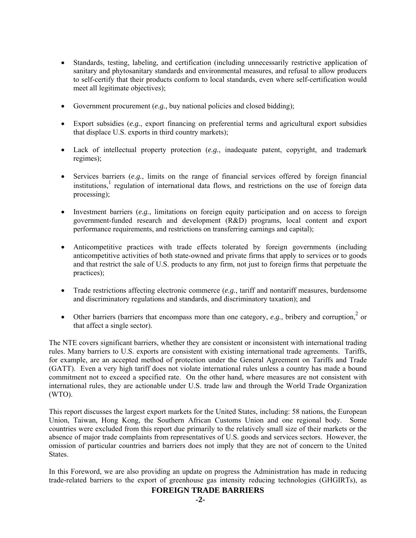- Standards, testing, labeling, and certification (including unnecessarily restrictive application of sanitary and phytosanitary standards and environmental measures, and refusal to allow producers to self-certify that their products conform to local standards, even where self-certification would meet all legitimate objectives);
- Government procurement (*e.g.*, buy national policies and closed bidding);
- Export subsidies (*e.g.*, export financing on preferential terms and agricultural export subsidies that displace U.S. exports in third country markets);
- Lack of intellectual property protection (*e.g.*, inadequate patent, copyright, and trademark regimes);
- Services barriers (*e.g.*, limits on the range of financial services offered by foreign financial institutions,<sup>1</sup> regulation of international data flows, and restrictions on the use of foreign data processing);
- Investment barriers (*e.g.*, limitations on foreign equity participation and on access to foreign government-funded research and development (R&D) programs, local content and export performance requirements, and restrictions on transferring earnings and capital);
- Anticompetitive practices with trade effects tolerated by foreign governments (including anticompetitive activities of both state-owned and private firms that apply to services or to goods and that restrict the sale of U.S. products to any firm, not just to foreign firms that perpetuate the practices);
- Trade restrictions affecting electronic commerce (*e.g.*, tariff and nontariff measures, burdensome and discriminatory regulations and standards, and discriminatory taxation); and
- Other barriers (barriers that encompass more than one category,  $e.g.,$  bribery and corruption,<sup>2</sup> or that affect a single sector).

The NTE covers significant barriers, whether they are consistent or inconsistent with international trading rules. Many barriers to U.S. exports are consistent with existing international trade agreements. Tariffs, for example, are an accepted method of protection under the General Agreement on Tariffs and Trade (GATT). Even a very high tariff does not violate international rules unless a country has made a bound commitment not to exceed a specified rate. On the other hand, where measures are not consistent with international rules, they are actionable under U.S. trade law and through the World Trade Organization (WTO).

This report discusses the largest export markets for the United States, including: 58 nations, the European Union, Taiwan, Hong Kong, the Southern African Customs Union and one regional body. Some countries were excluded from this report due primarily to the relatively small size of their markets or the absence of major trade complaints from representatives of U.S. goods and services sectors. However, the omission of particular countries and barriers does not imply that they are not of concern to the United **States**.

In this Foreword, we are also providing an update on progress the Administration has made in reducing trade-related barriers to the export of greenhouse gas intensity reducing technologies (GHGIRTs), as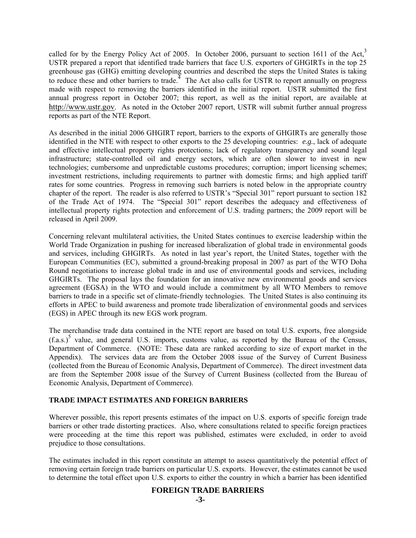called for by the Energy Policy Act of 2005. In October 2006, pursuant to section 1611 of the Act,<sup>3</sup> USTR prepared a report that identified trade barriers that face U.S. exporters of GHGIRTs in the top 25 greenhouse gas (GHG) emitting developing countries and described the steps the United States is taking to reduce these and other barriers to trade.<sup> $4$ </sup> The Act also calls for USTR to report annually on progress made with respect to removing the barriers identified in the initial report. USTR submitted the first annual progress report in October 2007; this report, as well as the initial report, are available at http://www.ustr.gov. As noted in the October 2007 report, USTR will submit further annual progress reports as part of the NTE Report.

As described in the initial 2006 GHGIRT report, barriers to the exports of GHGIRTs are generally those identified in the NTE with respect to other exports to the 25 developing countries: *e.g.*, lack of adequate and effective intellectual property rights protections; lack of regulatory transparency and sound legal infrastructure; state-controlled oil and energy sectors, which are often slower to invest in new technologies; cumbersome and unpredictable customs procedures; corruption; import licensing schemes; investment restrictions, including requirements to partner with domestic firms; and high applied tariff rates for some countries. Progress in removing such barriers is noted below in the appropriate country chapter of the report. The reader is also referred to USTR's "Special 301" report pursuant to section 182 of the Trade Act of 1974. The "Special 301" report describes the adequacy and effectiveness of intellectual property rights protection and enforcement of U.S. trading partners; the 2009 report will be released in April 2009.

Concerning relevant multilateral activities, the United States continues to exercise leadership within the World Trade Organization in pushing for increased liberalization of global trade in environmental goods and services, including GHGIRTs. As noted in last year's report, the United States, together with the European Communities (EC), submitted a ground-breaking proposal in 2007 as part of the WTO Doha Round negotiations to increase global trade in and use of environmental goods and services, including GHGIRTs. The proposal lays the foundation for an innovative new environmental goods and services agreement (EGSA) in the WTO and would include a commitment by all WTO Members to remove barriers to trade in a specific set of climate-friendly technologies. The United States is also continuing its efforts in APEC to build awareness and promote trade liberalization of environmental goods and services (EGS) in APEC through its new EGS work program.

The merchandise trade data contained in the NTE report are based on total U.S. exports, free alongside  $(f.a.s.)^5$  value, and general U.S. imports, customs value, as reported by the Bureau of the Census, Department of Commerce. (NOTE: These data are ranked according to size of export market in the Appendix). The services data are from the October 2008 issue of the Survey of Current Business (collected from the Bureau of Economic Analysis, Department of Commerce). The direct investment data are from the September 2008 issue of the Survey of Current Business (collected from the Bureau of Economic Analysis, Department of Commerce).

## **TRADE IMPACT ESTIMATES AND FOREIGN BARRIERS**

Wherever possible, this report presents estimates of the impact on U.S. exports of specific foreign trade barriers or other trade distorting practices. Also, where consultations related to specific foreign practices were proceeding at the time this report was published, estimates were excluded, in order to avoid prejudice to those consultations.

The estimates included in this report constitute an attempt to assess quantitatively the potential effect of removing certain foreign trade barriers on particular U.S. exports. However, the estimates cannot be used to determine the total effect upon U.S. exports to either the country in which a barrier has been identified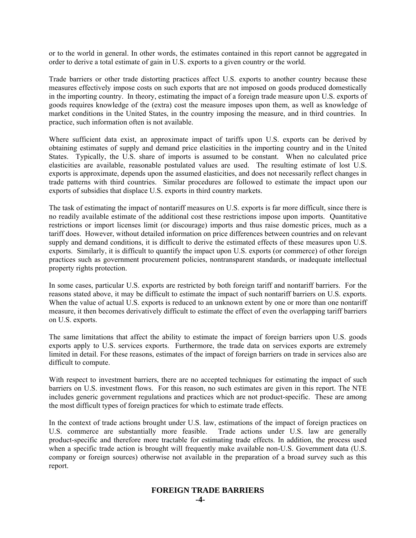or to the world in general. In other words, the estimates contained in this report cannot be aggregated in order to derive a total estimate of gain in U.S. exports to a given country or the world.

Trade barriers or other trade distorting practices affect U.S. exports to another country because these measures effectively impose costs on such exports that are not imposed on goods produced domestically in the importing country. In theory, estimating the impact of a foreign trade measure upon U.S. exports of goods requires knowledge of the (extra) cost the measure imposes upon them, as well as knowledge of market conditions in the United States, in the country imposing the measure, and in third countries. In practice, such information often is not available.

Where sufficient data exist, an approximate impact of tariffs upon U.S. exports can be derived by obtaining estimates of supply and demand price elasticities in the importing country and in the United States. Typically, the U.S. share of imports is assumed to be constant. When no calculated price elasticities are available, reasonable postulated values are used. The resulting estimate of lost U.S. exports is approximate, depends upon the assumed elasticities, and does not necessarily reflect changes in trade patterns with third countries. Similar procedures are followed to estimate the impact upon our exports of subsidies that displace U.S. exports in third country markets.

The task of estimating the impact of nontariff measures on U.S. exports is far more difficult, since there is no readily available estimate of the additional cost these restrictions impose upon imports. Quantitative restrictions or import licenses limit (or discourage) imports and thus raise domestic prices, much as a tariff does. However, without detailed information on price differences between countries and on relevant supply and demand conditions, it is difficult to derive the estimated effects of these measures upon U.S. exports. Similarly, it is difficult to quantify the impact upon U.S. exports (or commerce) of other foreign practices such as government procurement policies, nontransparent standards, or inadequate intellectual property rights protection.

In some cases, particular U.S. exports are restricted by both foreign tariff and nontariff barriers. For the reasons stated above, it may be difficult to estimate the impact of such nontariff barriers on U.S. exports. When the value of actual U.S. exports is reduced to an unknown extent by one or more than one nontariff measure, it then becomes derivatively difficult to estimate the effect of even the overlapping tariff barriers on U.S. exports.

The same limitations that affect the ability to estimate the impact of foreign barriers upon U.S. goods exports apply to U.S. services exports. Furthermore, the trade data on services exports are extremely limited in detail. For these reasons, estimates of the impact of foreign barriers on trade in services also are difficult to compute.

With respect to investment barriers, there are no accepted techniques for estimating the impact of such barriers on U.S. investment flows. For this reason, no such estimates are given in this report. The NTE includes generic government regulations and practices which are not product-specific. These are among the most difficult types of foreign practices for which to estimate trade effects.

In the context of trade actions brought under U.S. law, estimations of the impact of foreign practices on U.S. commerce are substantially more feasible. Trade actions under U.S. law are generally product-specific and therefore more tractable for estimating trade effects. In addition, the process used when a specific trade action is brought will frequently make available non-U.S. Government data (U.S. company or foreign sources) otherwise not available in the preparation of a broad survey such as this report.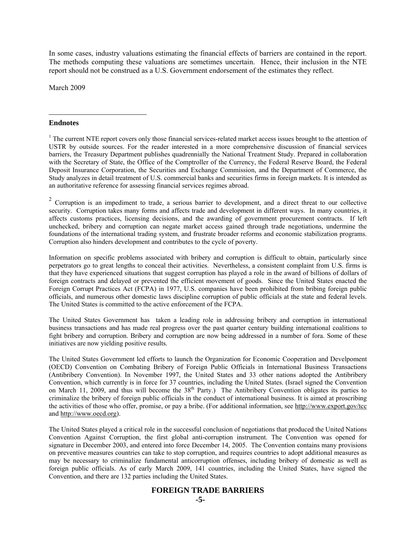In some cases, industry valuations estimating the financial effects of barriers are contained in the report. The methods computing these valuations are sometimes uncertain. Hence, their inclusion in the NTE report should not be construed as a U.S. Government endorsement of the estimates they reflect.

March 2009

#### **Endnotes**

 $\overline{a}$ 

 $<sup>1</sup>$  The current NTE report covers only those financial services-related market access issues brought to the attention of</sup> USTR by outside sources. For the reader interested in a more comprehensive discussion of financial services barriers, the Treasury Department publishes quadrennially the National Treatment Study. Prepared in collaboration with the Secretary of State, the Office of the Comptroller of the Currency, the Federal Reserve Board, the Federal Deposit Insurance Corporation, the Securities and Exchange Commission, and the Department of Commerce, the Study analyzes in detail treatment of U.S. commercial banks and securities firms in foreign markets. It is intended as an authoritative reference for assessing financial services regimes abroad.

 $2$  Corruption is an impediment to trade, a serious barrier to development, and a direct threat to our collective security. Corruption takes many forms and affects trade and development in different ways. In many countries, it affects customs practices, licensing decisions, and the awarding of government procurement contracts. If left unchecked, bribery and corruption can negate market access gained through trade negotiations, undermine the foundations of the international trading system, and frustrate broader reforms and economic stabilization programs. Corruption also hinders development and contributes to the cycle of poverty.

Information on specific problems associated with bribery and corruption is difficult to obtain, particularly since perpetrators go to great lengths to conceal their activities. Nevertheless, a consistent complaint from U.S. firms is that they have experienced situations that suggest corruption has played a role in the award of billions of dollars of foreign contracts and delayed or prevented the efficient movement of goods. Since the United States enacted the Foreign Corrupt Practices Act (FCPA) in 1977, U.S. companies have been prohibited from bribing foreign public officials, and numerous other domestic laws discipline corruption of public officials at the state and federal levels. The United States is committed to the active enforcement of the FCPA.

The United States Government has taken a leading role in addressing bribery and corruption in international business transactions and has made real progress over the past quarter century building international coalitions to fight bribery and corruption. Bribery and corruption are now being addressed in a number of fora. Some of these initiatives are now yielding positive results.

The United States Government led efforts to launch the Organization for Economic Cooperation and Develpoment (OECD) Convention on Combating Bribery of Foreign Public Officials in International Business Transactions (Antibribery Convention). In November 1997, the United States and 33 other nations adopted the Antibribery Convention, which currently is in force for 37 countries, including the United States. (Israel signed the Convention on March 11, 2009, and thus will become the 38<sup>th</sup> Party.) The Antibribery Convention obligates its parties to criminalize the bribery of foreign public officials in the conduct of international business. It is aimed at proscribing the activities of those who offer, promise, or pay a bribe. (For additional information, see http://www.export.gov/tcc and http://www.oecd.org).

The United States played a critical role in the successful conclusion of negotiations that produced the United Nations Convention Against Corruption, the first global anti-corruption instrument. The Convention was opened for signature in December 2003, and entered into force December 14, 2005. The Convention contains many provisions on preventive measures countries can take to stop corruption, and requires countries to adopt additional measures as may be necessary to criminalize fundamental anticorruption offenses, including bribery of domestic as well as foreign public officials. As of early March 2009, 141 countries, including the United States, have signed the Convention, and there are 132 parties including the United States.